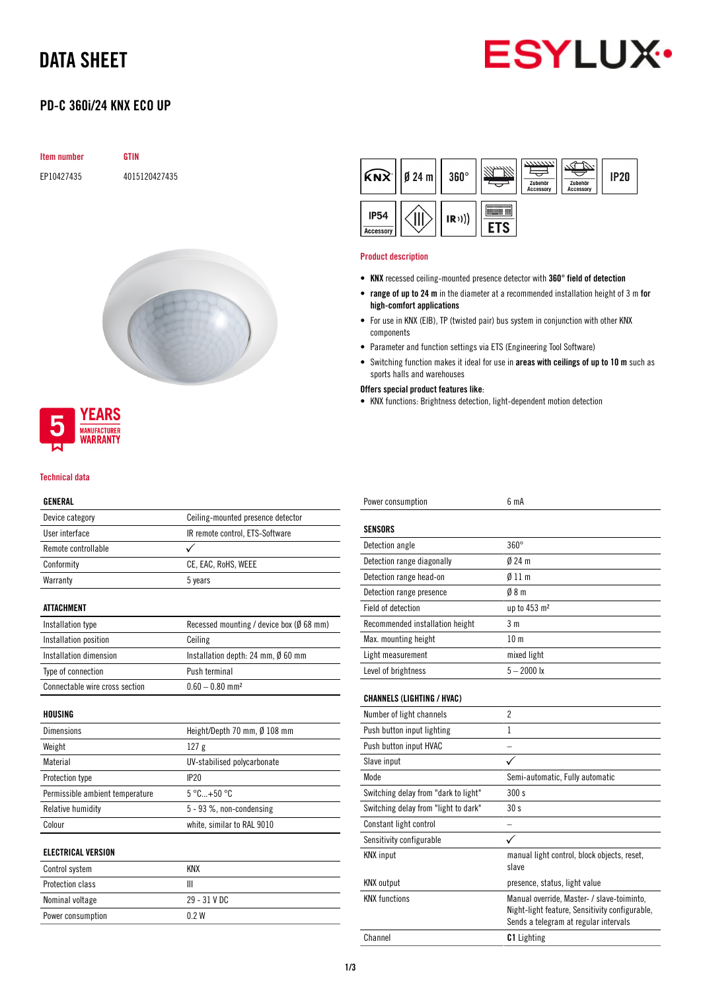## DATA SHEET



### PD-C 360i/24 KNX ECO UP

| <b>Item number</b> | GTIN          |
|--------------------|---------------|
| EP10427435         | 4015120427435 |





#### Technical data

### GENERAL

| Device category                 | Ceiling-mounted presence detector        |
|---------------------------------|------------------------------------------|
| User interface                  | IR remote control, ETS-Software          |
| Remote controllable             | ✓                                        |
| Conformity                      | CE, EAC, RoHS, WEEE                      |
| Warranty                        | 5 years                                  |
| <b>ATTACHMENT</b>               |                                          |
| Installation type               | Recessed mounting / device box (Ø 68 mm) |
| Installation position           | Ceiling                                  |
| Installation dimension          | Installation depth: 24 mm, Ø 60 mm       |
| Type of connection              | Push terminal                            |
| Connectable wire cross section  | $0.60 - 0.80$ mm <sup>2</sup>            |
| HOUSING                         |                                          |
| <b>Dimensions</b>               | Height/Depth 70 mm, Ø 108 mm             |
| Weight                          | 127 <sub>g</sub>                         |
| Material                        | UV-stabilised polycarbonate              |
| Protection type                 | IP20                                     |
| Permissible ambient temperature | $5^{\circ}$ C +50 $^{\circ}$ C           |
| Relative humidity               | $5 - 93$ %, non-condensing               |
| Colour                          | white, similar to RAL 9010               |
| <b>ELECTRICAL VERSION</b>       |                                          |
| Control system                  | <b>KNX</b>                               |
| Protection class                | Ш                                        |

| Protection class  |                |  |
|-------------------|----------------|--|
| Nominal voltage   | $29 - 31$ V DC |  |
| Power consumption | 0 2 W          |  |
|                   |                |  |



#### Product description

- KNX recessed ceiling-mounted presence detector with 360° field of detection
- range of up to 24 m in the diameter at a recommended installation height of 3 m for high-comfort applications
- For use in KNX (EIB), TP (twisted pair) bus system in conjunction with other KNX components
- Parameter and function settings via ETS (Engineering Tool Software)
- Switching function makes it ideal for use in areas with ceilings of up to 10 m such as sports halls and warehouses
- Offers special product features like:
- KNX functions: Brightness detection, light-dependent motion detection

| Power consumption                    | 6 mA                                                                                                                                  |
|--------------------------------------|---------------------------------------------------------------------------------------------------------------------------------------|
|                                      |                                                                                                                                       |
| <b>SENSORS</b>                       |                                                                                                                                       |
| Detection angle                      | $360^\circ$                                                                                                                           |
| Detection range diagonally           | $024 \text{ m}$                                                                                                                       |
| Detection range head-on              | $\emptyset$ 11 m                                                                                                                      |
| Detection range presence             | 08 <sub>m</sub>                                                                                                                       |
| Field of detection                   | up to 453 m <sup>2</sup>                                                                                                              |
| Recommended installation height      | 3 <sub>m</sub>                                                                                                                        |
| Max. mounting height                 | 10 <sub>m</sub>                                                                                                                       |
| Light measurement                    | mixed light                                                                                                                           |
| Level of brightness                  | $5 - 2000$ lx                                                                                                                         |
|                                      |                                                                                                                                       |
| <b>CHANNELS (LIGHTING / HVAC)</b>    |                                                                                                                                       |
| Number of light channels             | $\overline{\phantom{a}}$                                                                                                              |
| Push button input lighting           | 1                                                                                                                                     |
| Push button input HVAC               |                                                                                                                                       |
| Slave input                          | $\checkmark$                                                                                                                          |
| Mode                                 | Semi-automatic, Fully automatic                                                                                                       |
| Switching delay from "dark to light" | 300 s                                                                                                                                 |
| Switching delay from "light to dark" | 30 <sub>s</sub>                                                                                                                       |
| Constant light control               |                                                                                                                                       |
| Sensitivity configurable             | ✓                                                                                                                                     |
| <b>KNX</b> input                     | manual light control, block objects, reset,<br>slave                                                                                  |
| <b>KNX</b> output                    | presence, status, light value                                                                                                         |
| <b>KNX functions</b>                 | Manual override, Master- / slave-toiminto,<br>Night-light feature, Sensitivity configurable,<br>Sends a telegram at regular intervals |
| Channel                              | <b>C1</b> Lighting                                                                                                                    |
|                                      |                                                                                                                                       |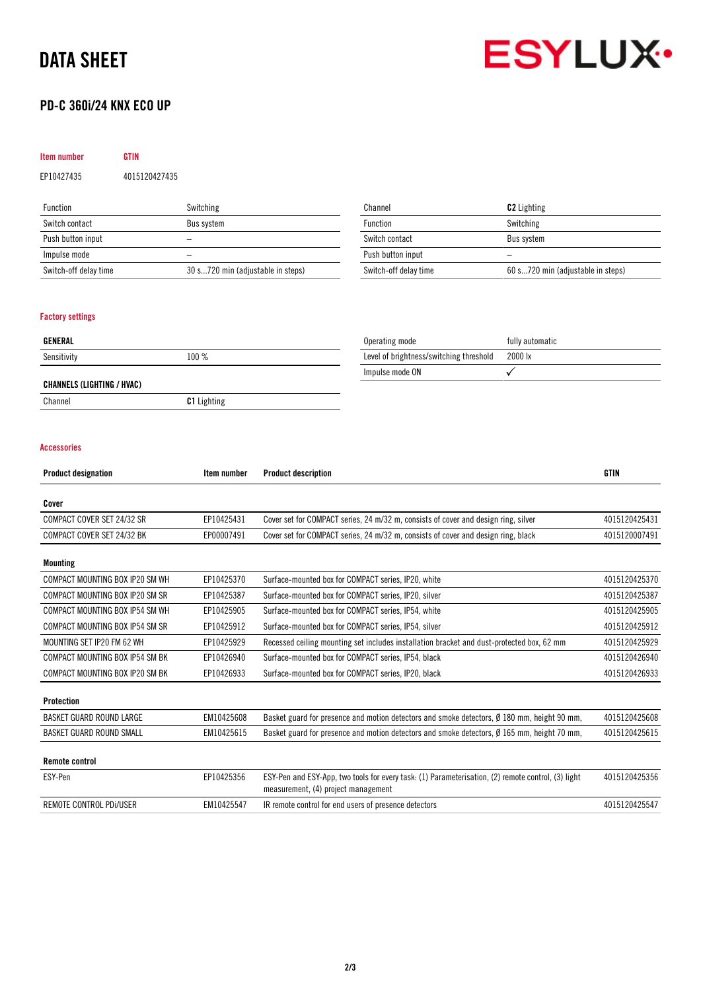## DATA SHEET



### PD-C 360i/24 KNX ECO UP

## Item number GTIN

EP10427435 4015120427435

| <b>Function</b>       | Switching                         |
|-----------------------|-----------------------------------|
| Switch contact        | Bus system                        |
| Push button input     |                                   |
| Impulse mode          |                                   |
| Switch-off delay time | 30 s720 min (adjustable in steps) |

| Channel               | <b>C2</b> Lighting                |
|-----------------------|-----------------------------------|
| Function              | Switching                         |
| Switch contact        | Bus system                        |
| Push button input     |                                   |
| Switch-off delay time | 60 s720 min (adjustable in steps) |

### Factory settings

| GENERAL                    |                    | Operating mode                          | fully automatic |
|----------------------------|--------------------|-----------------------------------------|-----------------|
| Sensitivity                | 100 %              | Level of brightness/switching threshold | 2000 lx         |
|                            |                    | Impulse mode ON                         |                 |
| CHANNELS (LIGHTING / HVAC) |                    |                                         |                 |
| Channel                    | <b>C1</b> Lighting |                                         |                 |

### Accessories

| <b>Product designation</b>      | Item number | <b>Product description</b>                                                                                                                | <b>GTIN</b>   |
|---------------------------------|-------------|-------------------------------------------------------------------------------------------------------------------------------------------|---------------|
| Cover                           |             |                                                                                                                                           |               |
| COMPACT COVER SET 24/32 SR      | EP10425431  | Cover set for COMPACT series, 24 m/32 m, consists of cover and design ring, silver                                                        | 4015120425431 |
| COMPACT COVER SET 24/32 BK      | EP00007491  | Cover set for COMPACT series, 24 m/32 m, consists of cover and design ring, black                                                         | 4015120007491 |
| Mounting                        |             |                                                                                                                                           |               |
| COMPACT MOUNTING BOX IP20 SM WH | EP10425370  | Surface-mounted box for COMPACT series, IP20, white                                                                                       | 4015120425370 |
| COMPACT MOUNTING BOX IP20 SM SR | EP10425387  | Surface-mounted box for COMPACT series, IP20, silver                                                                                      | 4015120425387 |
| COMPACT MOUNTING BOX IP54 SM WH | EP10425905  | Surface-mounted box for COMPACT series, IP54, white                                                                                       | 4015120425905 |
| COMPACT MOUNTING BOX IP54 SM SR | EP10425912  | Surface-mounted box for COMPACT series, IP54, silver                                                                                      | 4015120425912 |
| MOUNTING SET IP20 FM 62 WH      | EP10425929  | Recessed ceiling mounting set includes installation bracket and dust-protected box, 62 mm                                                 | 4015120425929 |
| COMPACT MOUNTING BOX IP54 SM BK | EP10426940  | Surface-mounted box for COMPACT series, IP54, black                                                                                       | 4015120426940 |
| COMPACT MOUNTING BOX IP20 SM BK | EP10426933  | Surface-mounted box for COMPACT series, IP20, black                                                                                       | 4015120426933 |
| <b>Protection</b>               |             |                                                                                                                                           |               |
| <b>BASKET GUARD ROUND LARGE</b> | EM10425608  | Basket guard for presence and motion detectors and smoke detectors, Ø 180 mm, height 90 mm,                                               | 4015120425608 |
| BASKET GUARD ROUND SMALL        | EM10425615  | Basket guard for presence and motion detectors and smoke detectors, $\emptyset$ 165 mm, height 70 mm,                                     | 4015120425615 |
| <b>Remote control</b>           |             |                                                                                                                                           |               |
| ESY-Pen                         | EP10425356  | ESY-Pen and ESY-App, two tools for every task: (1) Parameterisation, (2) remote control, (3) light<br>measurement, (4) project management | 4015120425356 |
| REMOTE CONTROL PDI/USER         | EM10425547  | IR remote control for end users of presence detectors                                                                                     | 4015120425547 |